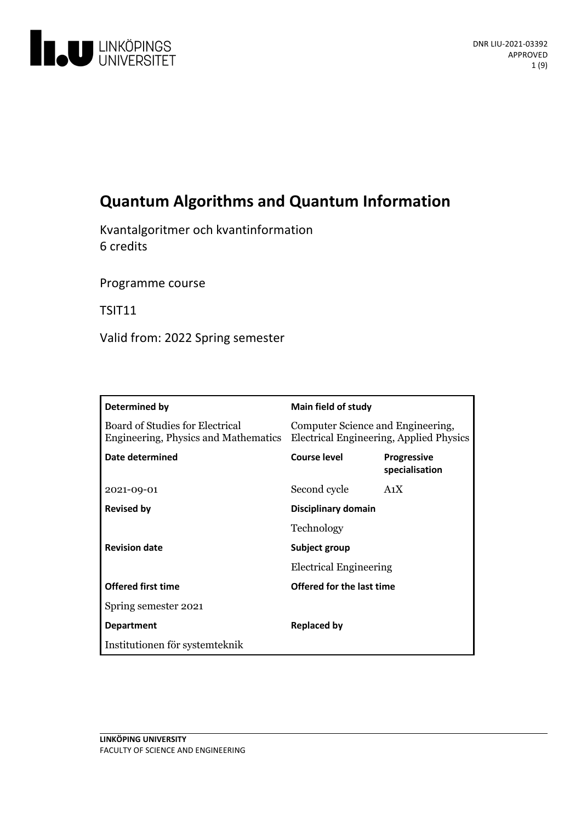

# **Quantum Algorithms and Quantum Information**

Kvantalgoritmer och kvantinformation 6 credits

Programme course

TSIT11

Valid from: 2022 Spring semester

| Determined by                                                           | Main field of study                                                          |                                      |
|-------------------------------------------------------------------------|------------------------------------------------------------------------------|--------------------------------------|
| Board of Studies for Electrical<br>Engineering, Physics and Mathematics | Computer Science and Engineering,<br>Electrical Engineering, Applied Physics |                                      |
| Date determined                                                         | Course level                                                                 | <b>Progressive</b><br>specialisation |
| 2021-09-01                                                              | Second cycle                                                                 | A <sub>1</sub> X                     |
| <b>Revised by</b>                                                       | Disciplinary domain                                                          |                                      |
|                                                                         | Technology                                                                   |                                      |
| <b>Revision date</b>                                                    | Subject group<br><b>Electrical Engineering</b>                               |                                      |
|                                                                         |                                                                              |                                      |
| <b>Offered first time</b>                                               | Offered for the last time                                                    |                                      |
| Spring semester 2021                                                    |                                                                              |                                      |
| <b>Department</b>                                                       | Replaced by                                                                  |                                      |
| Institutionen för systemteknik                                          |                                                                              |                                      |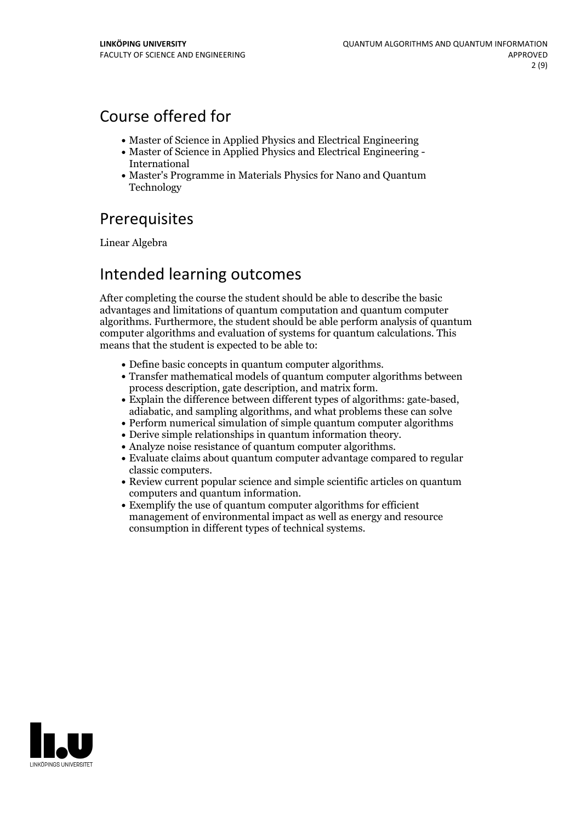## Course offered for

- Master of Science in Applied Physics and Electrical Engineering
- Master of Science in Applied Physics and Electrical Engineering International
- Master's Programme in Materials Physics for Nano and Quantum Technology

## Prerequisites

Linear Algebra

## Intended learning outcomes

After completing the course the student should be able to describe the basic advantages and limitations of quantum computation and quantum computer algorithms. Furthermore, the student should be able perform analysis of quantum computer algorithms and evaluation of systems for quantum calculations. This means that the student is expected to be able to:

- 
- Define basic concepts in quantum computer algorithms.<br>• Transfer mathematical models of quantum computer algorithms between
- process description, gate description, and matrix form.<br>
Explain the difference between different types of algorithms: gate-based, adiabatic, and sampling algorithms, and what problems these can solve
- Perform numerical simulation of simple quantum computer algorithms
- 
- 
- Derive simple relationships in quantum information theory. Analyze noise resistance ofquantum computer algorithms. Evaluate claims about quantum computer advantage compared to regular classic computers.<br>• Review current popular science and simple scientific articles on quantum
- computers and quantum information.<br>• Exemplify the use of quantum computer algorithms for efficient
- management of environmental impact as well as energy and resource consumption in different types of technical systems.

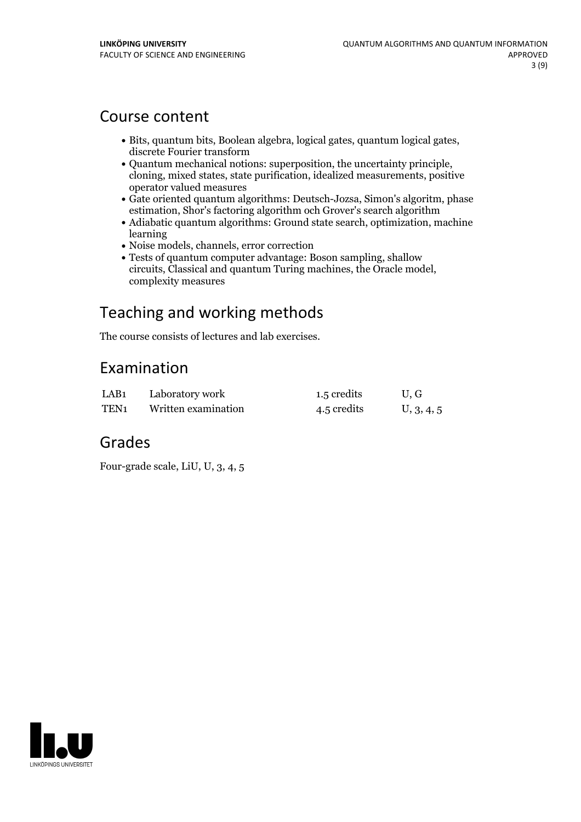## Course content

- Bits, quantum bits, Boolean algebra, logical gates, quantum logical gates, discrete Fourier transform
- Quantum mechanical notions: superposition, the uncertainty principle, cloning, mixed states, state purification, idealized measurements, positive operator valued measures
- Gate oriented quantum algorithms: Deutsch-Jozsa, Simon's algoritm, phase estimation, Shor's factoring algorithm och Grover's search algorithm
- Adiabatic quantum algorithms: Ground state search, optimization, machine learning
- Noise models, channels, error correction
- Tests of quantum computer advantage: Boson sampling, shallow circuits, Classical and quantum Turing machines, the Oracle model, complexity measures

# Teaching and working methods

The course consists of lectures and lab exercises.

# Examination

| LAB <sub>1</sub> | Laboratory work     | 1.5 credits | U.G        |
|------------------|---------------------|-------------|------------|
| TEN <sub>1</sub> | Written examination | 4.5 credits | U, 3, 4, 5 |

## Grades

Four-grade scale, LiU, U, 3, 4, 5

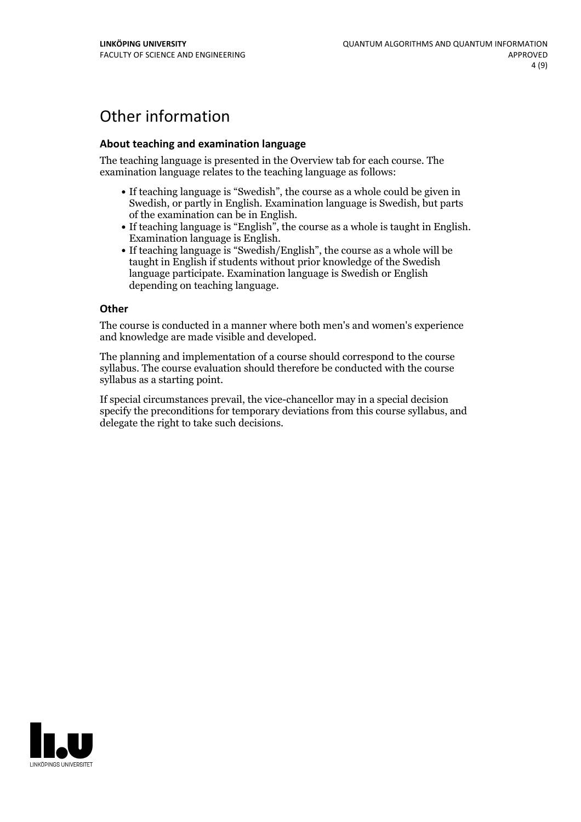# Other information

### **About teaching and examination language**

The teaching language is presented in the Overview tab for each course. The examination language relates to the teaching language as follows:

- If teaching language is "Swedish", the course as a whole could be given in Swedish, or partly in English. Examination language is Swedish, but parts
- of the examination can be in English. If teaching language is "English", the course as <sup>a</sup> whole is taught in English. Examination language is English. If teaching language is "Swedish/English", the course as <sup>a</sup> whole will be
- taught in English if students without prior knowledge of the Swedish language participate. Examination language is Swedish or English depending on teaching language.

#### **Other**

The course is conducted in a manner where both men's and women's experience and knowledge are made visible and developed.

The planning and implementation of a course should correspond to the course syllabus. The course evaluation should therefore be conducted with the course syllabus as a starting point.

If special circumstances prevail, the vice-chancellor may in a special decision specify the preconditions for temporary deviations from this course syllabus, and delegate the right to take such decisions.

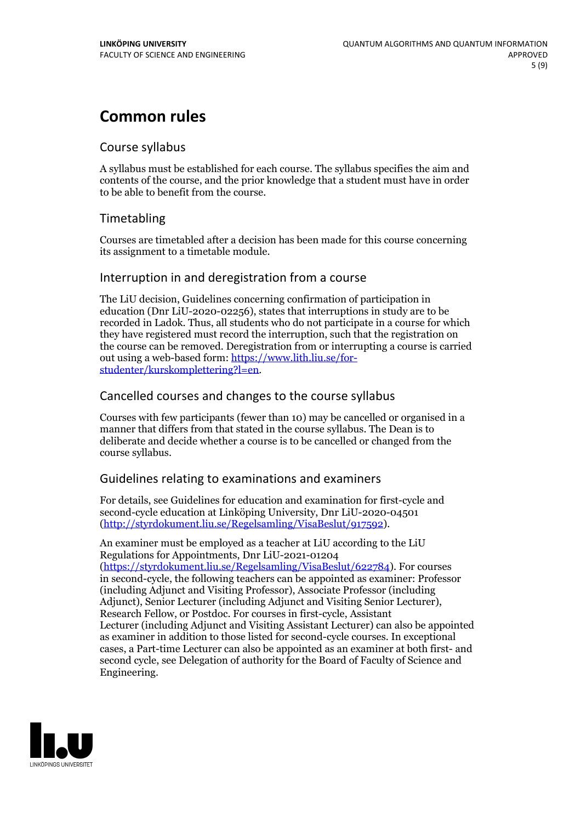## **Common rules**

## Course syllabus

A syllabus must be established for each course. The syllabus specifies the aim and contents of the course, and the prior knowledge that a student must have in order to be able to benefit from the course.

## Timetabling

Courses are timetabled after a decision has been made for this course concerning its assignment to a timetable module.

## Interruption in and deregistration from a course

The LiU decision, Guidelines concerning confirmation of participation in education (Dnr LiU-2020-02256), states that interruptions in study are to be recorded in Ladok. Thus, all students who do not participate in a course for which they have registered must record the interruption, such that the registration on the course can be removed. Deregistration from or interrupting a course is carried out using <sup>a</sup> web-based form: https://www.lith.liu.se/for- [studenter/kurskomplettering?l=en.](https://www.lith.liu.se/for-studenter/kurskomplettering?l=en)

## Cancelled coursesand changes to the course syllabus

Courses with few participants (fewer than 10) may be cancelled or organised in a manner that differs from that stated in the course syllabus. The Dean is to deliberate and decide whether a course is to be cancelled or changed from the course syllabus.

## Guidelines relating to examinations and examiners

For details, see Guidelines for education and examination for first-cycle and second-cycle education at Linköping University, Dnr LiU-2020-04501 [\(http://styrdokument.liu.se/Regelsamling/VisaBeslut/917592\)](http://styrdokument.liu.se/Regelsamling/VisaBeslut/917592).

An examiner must be employed as a teacher at LiU according to the LiU Regulations for Appointments, Dnr LiU-2021-01204 [\(https://styrdokument.liu.se/Regelsamling/VisaBeslut/622784](https://styrdokument.liu.se/Regelsamling/VisaBeslut/622784)). For courses in second-cycle, the following teachers can be appointed as examiner: Professor (including Adjunct and Visiting Professor), Associate Professor (including Adjunct), Senior Lecturer (including Adjunct and Visiting Senior Lecturer), Research Fellow, or Postdoc. For courses in first-cycle, Assistant Lecturer (including Adjunct and Visiting Assistant Lecturer) can also be appointed as examiner in addition to those listed for second-cycle courses. In exceptional cases, a Part-time Lecturer can also be appointed as an examiner at both first- and second cycle, see Delegation of authority for the Board of Faculty of Science and Engineering.

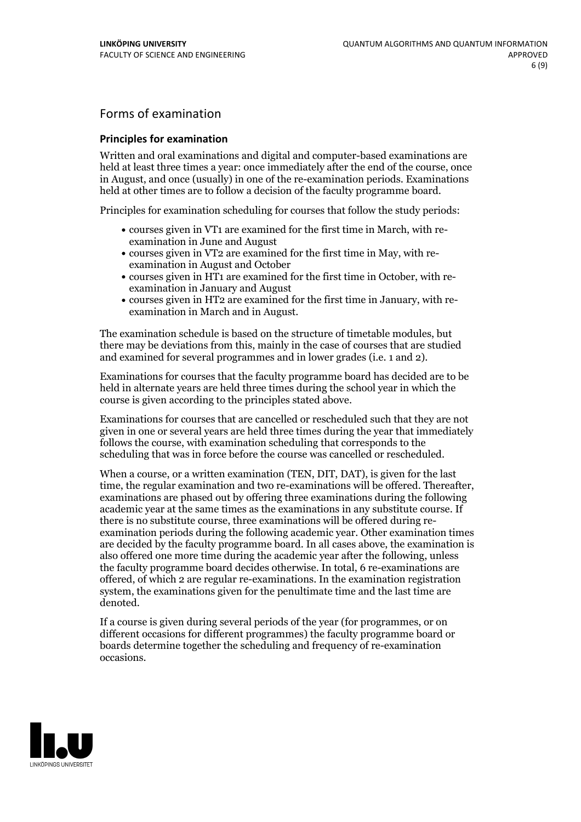## Forms of examination

### **Principles for examination**

Written and oral examinations and digital and computer-based examinations are held at least three times a year: once immediately after the end of the course, once in August, and once (usually) in one of the re-examination periods. Examinations held at other times are to follow a decision of the faculty programme board.

Principles for examination scheduling for courses that follow the study periods:

- courses given in VT1 are examined for the first time in March, with re-examination in June and August
- courses given in VT2 are examined for the first time in May, with re-examination in August and October
- courses given in HT1 are examined for the first time in October, with re-examination in January and August
- courses given in HT2 are examined for the first time in January, with re-examination in March and in August.

The examination schedule is based on the structure of timetable modules, but there may be deviations from this, mainly in the case of courses that are studied and examined for several programmes and in lower grades (i.e. 1 and 2).

Examinations for courses that the faculty programme board has decided are to be held in alternate years are held three times during the school year in which the course is given according to the principles stated above.

Examinations for courses that are cancelled orrescheduled such that they are not given in one or several years are held three times during the year that immediately follows the course, with examination scheduling that corresponds to the scheduling that was in force before the course was cancelled or rescheduled.

When a course, or a written examination (TEN, DIT, DAT), is given for the last time, the regular examination and two re-examinations will be offered. Thereafter, examinations are phased out by offering three examinations during the following academic year at the same times as the examinations in any substitute course. If there is no substitute course, three examinations will be offered during re- examination periods during the following academic year. Other examination times are decided by the faculty programme board. In all cases above, the examination is also offered one more time during the academic year after the following, unless the faculty programme board decides otherwise. In total, 6 re-examinations are offered, of which 2 are regular re-examinations. In the examination registration system, the examinations given for the penultimate time and the last time are denoted.

If a course is given during several periods of the year (for programmes, or on different occasions for different programmes) the faculty programme board or boards determine together the scheduling and frequency of re-examination occasions.

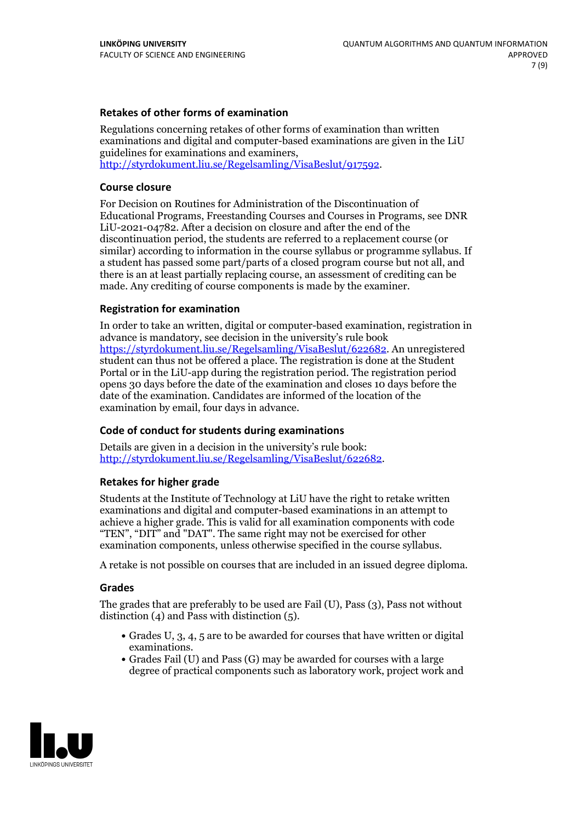### **Retakes of other forms of examination**

Regulations concerning retakes of other forms of examination than written examinations and digital and computer-based examinations are given in the LiU guidelines for examinations and examiners, [http://styrdokument.liu.se/Regelsamling/VisaBeslut/917592.](http://styrdokument.liu.se/Regelsamling/VisaBeslut/917592)

#### **Course closure**

For Decision on Routines for Administration of the Discontinuation of Educational Programs, Freestanding Courses and Courses in Programs, see DNR LiU-2021-04782. After a decision on closure and after the end of the discontinuation period, the students are referred to a replacement course (or similar) according to information in the course syllabus or programme syllabus. If a student has passed some part/parts of a closed program course but not all, and there is an at least partially replacing course, an assessment of crediting can be made. Any crediting of course components is made by the examiner.

### **Registration for examination**

In order to take an written, digital or computer-based examination, registration in advance is mandatory, see decision in the university's rule book [https://styrdokument.liu.se/Regelsamling/VisaBeslut/622682.](https://styrdokument.liu.se/Regelsamling/VisaBeslut/622682) An unregistered student can thus not be offered a place. The registration is done at the Student Portal or in the LiU-app during the registration period. The registration period opens 30 days before the date of the examination and closes 10 days before the date of the examination. Candidates are informed of the location of the examination by email, four days in advance.

### **Code of conduct for students during examinations**

Details are given in a decision in the university's rule book: <http://styrdokument.liu.se/Regelsamling/VisaBeslut/622682>.

#### **Retakes for higher grade**

Students at the Institute of Technology at LiU have the right to retake written examinations and digital and computer-based examinations in an attempt to achieve a higher grade. This is valid for all examination components with code "TEN", "DIT" and "DAT". The same right may not be exercised for other examination components, unless otherwise specified in the course syllabus.

A retake is not possible on courses that are included in an issued degree diploma.

#### **Grades**

The grades that are preferably to be used are Fail (U), Pass (3), Pass not without distinction  $(4)$  and Pass with distinction  $(5)$ .

- Grades U, 3, 4, 5 are to be awarded for courses that have written or digital examinations.<br>• Grades Fail (U) and Pass (G) may be awarded for courses with a large
- degree of practical components such as laboratory work, project work and

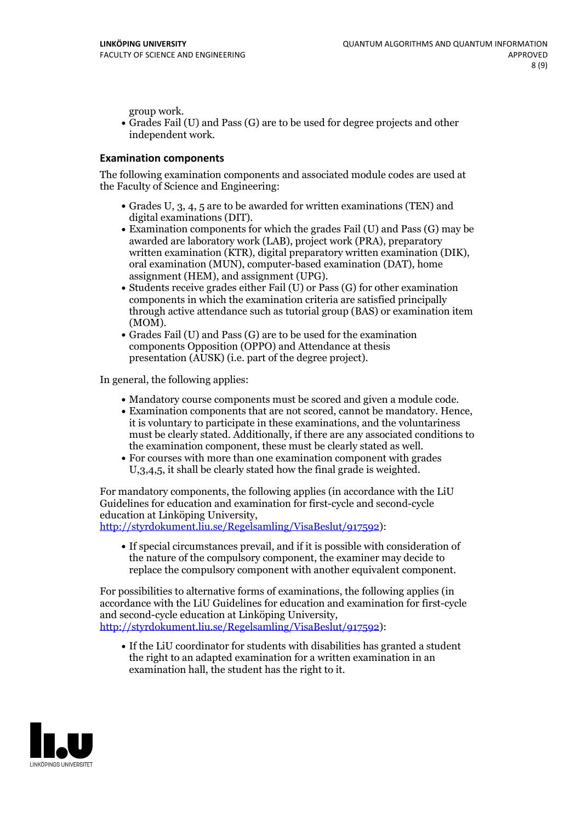group work.<br>• Grades Fail (U) and Pass (G) are to be used for degree projects and other independent work.

#### **Examination components**

The following examination components and associated module codes are used at the Faculty of Science and Engineering:

- Grades U, 3, 4, 5 are to be awarded for written examinations (TEN) and
- digital examinations (DIT).<br>• Examination components for which the grades Fail (U) and Pass (G) may be awarded are laboratory work (LAB), project work (PRA), preparatory written examination (KTR), digital preparatory written examination (DIK), oral examination (MUN), computer-based examination (DAT), home
- assignment (HEM), and assignment (UPG).<br>• Students receive grades either Fail (U) or Pass (G) for other examination components in which the examination criteria are satisfied principally through active attendance such as tutorial group (BAS) or examination item
- (MOM).<br>• Grades Fail (U) and Pass (G) are to be used for the examination components Opposition (OPPO) and Attendance at thesis presentation (AUSK) (i.e. part of the degree project).

In general, the following applies:

- 
- Mandatory course components must be scored and given <sup>a</sup> module code. Examination components that are not scored, cannot be mandatory. Hence, it is voluntary to participate in these examinations, and the voluntariness must be clearly stated. Additionally, if there are any associated conditions to
- the examination component, these must be clearly stated as well.<br>• For courses with more than one examination component with grades U,3,4,5, it shall be clearly stated how the final grade is weighted.

For mandatory components, the following applies (in accordance with the LiU Guidelines for education and examination for first-cycle and second-cycle

[http://styrdokument.liu.se/Regelsamling/VisaBeslut/917592\)](http://styrdokument.liu.se/Regelsamling/VisaBeslut/917592):

If special circumstances prevail, and if it is possible with consideration of the nature of the compulsory component, the examiner may decide to replace the compulsory component with another equivalent component.

For possibilities to alternative forms of examinations, the following applies (in accordance with the LiU Guidelines for education and examination for first-cycle [http://styrdokument.liu.se/Regelsamling/VisaBeslut/917592\)](http://styrdokument.liu.se/Regelsamling/VisaBeslut/917592):

If the LiU coordinator for students with disabilities has granted a student the right to an adapted examination for a written examination in an examination hall, the student has the right to it.